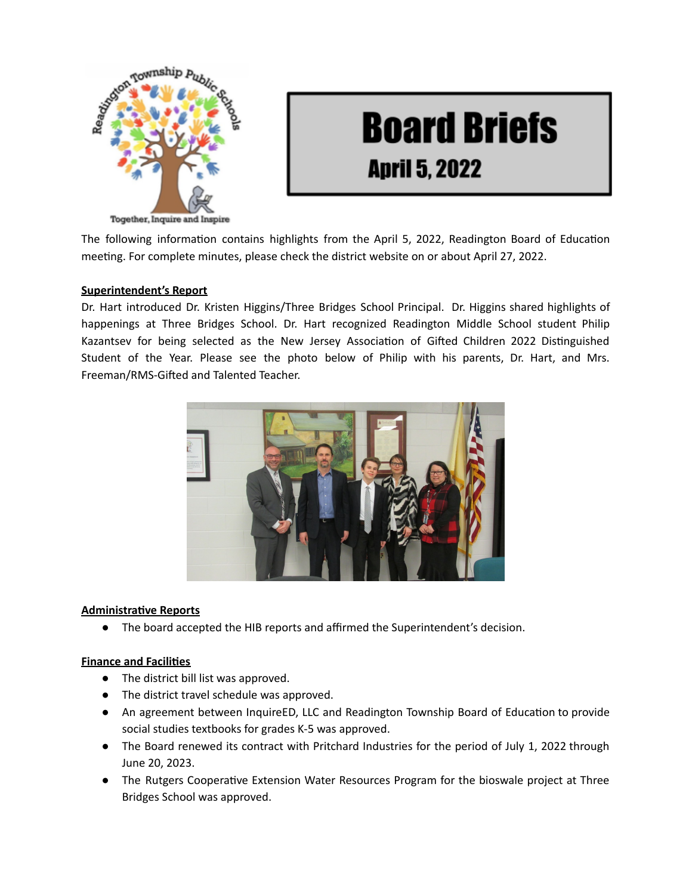

# **Board Briefs April 5, 2022**

The following information contains highlights from the April 5, 2022, Readington Board of Education meeting. For complete minutes, please check the district website on or about April 27, 2022.

### **Superintendent's Report**

Dr. Hart introduced Dr. Kristen Higgins/Three Bridges School Principal. Dr. Higgins shared highlights of happenings at Three Bridges School. Dr. Hart recognized Readington Middle School student Philip Kazantsev for being selected as the New Jersey Association of Gifted Children 2022 Distinguished Student of the Year. Please see the photo below of Philip with his parents, Dr. Hart, and Mrs. Freeman/RMS-Gifted and Talented Teacher.



#### **Administrative Reports**

● The board accepted the HIB reports and affirmed the Superintendent's decision.

#### **Finance and Facilies**

- The district bill list was approved.
- The district travel schedule was approved.
- An agreement between InquireED, LLC and Readington Township Board of Education to provide social studies textbooks for grades K-5 was approved.
- The Board renewed its contract with Pritchard Industries for the period of July 1, 2022 through June 20, 2023.
- The Rutgers Cooperative Extension Water Resources Program for the bioswale project at Three Bridges School was approved.